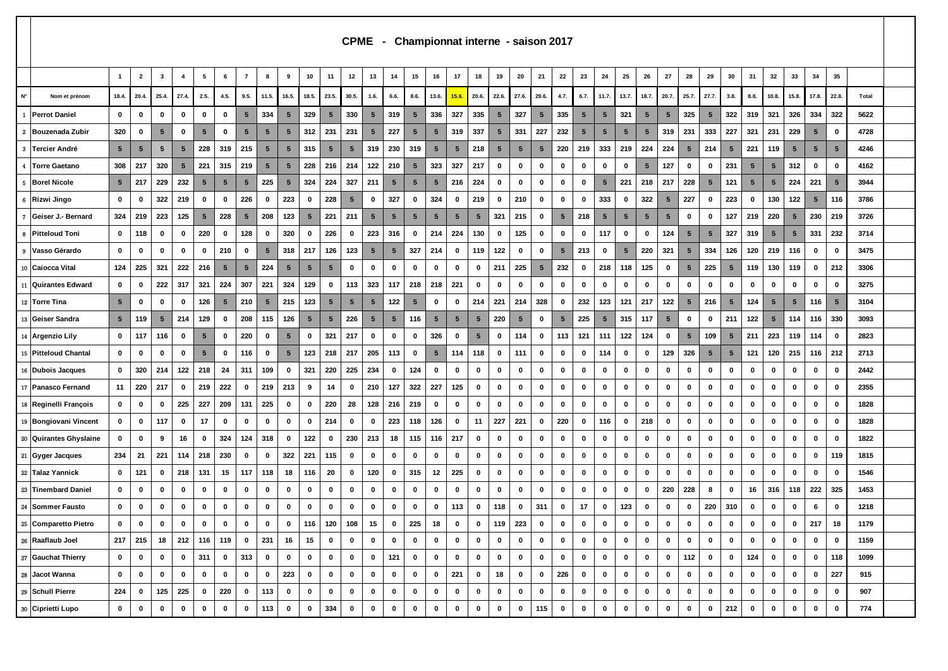|                        |                 |                 |                 |                         |             |                 |                 |                 |                 |                 |                 |                 |                 |                 |                 |                 |                 |                 |                 |                 | CPME - Championnat interne - saison 2017 |                 |                 |                 |                 |                 |                 |                 |                 |                 |                 |             |                 |                 |                 |       |  |
|------------------------|-----------------|-----------------|-----------------|-------------------------|-------------|-----------------|-----------------|-----------------|-----------------|-----------------|-----------------|-----------------|-----------------|-----------------|-----------------|-----------------|-----------------|-----------------|-----------------|-----------------|------------------------------------------|-----------------|-----------------|-----------------|-----------------|-----------------|-----------------|-----------------|-----------------|-----------------|-----------------|-------------|-----------------|-----------------|-----------------|-------|--|
|                        | $\overline{1}$  | $\overline{2}$  | $\mathbf{3}$    | $\overline{\mathbf{4}}$ | 5           | 6               | $\overline{7}$  | 8               | 9               | 10              | 11              | 12              | 13              | 14              | 15              | 16              | 17              | 18              | 19              | 20              | 21                                       | 22              | 23              | 24              | 25              | 26              | 27              | 28              | 29              | 30              | 31              | 32          | 33              | 34              | 35              |       |  |
| N°<br>Nom et prénom    | 18.4.           | 20.4            | 25.4.           | 27.4.                   | 2.5.        | 4.5.            | 9.5.            | 11.5.           | 16.5            | 18.5            | 23.5.           | 30.5.           | 1.6.            | 6.6.            | 8.6.            | 13.6.           | 15.6.           | 20.6.           | 22.6.           | 27.6.           | 29.6.                                    | 4.7.            | 6.7.            | 11.7.           | 13.7.           | 18.7.           | 20.7.           | 25.7.           | 27.7.           | 3.8.            | 8.8.            | 10.8.       | 15.8.           | 17.8.           | 22.8.           | Total |  |
| <b>Perrot Daniel</b>   | 0               | 0               | 0               | 0                       | 0           | 0               | $5\phantom{.0}$ | 334             | 5               | 329             | $5\phantom{.0}$ | 330             | $\sqrt{5}$      | 319             | $5\phantom{.0}$ | 336             | 327             | 335             | 5               | 327             | 5                                        | 335             | 5               | $5\overline{)}$ | 321             | $5\phantom{.0}$ | $5\phantom{.0}$ | 325             | $5\phantom{1}$  | 322             | 319             | 321         | 326             | 334             | 322             | 5622  |  |
| 2 Bouzenada Zubir      | 320             | 0               | $5\phantom{.0}$ | 0                       | 5           | $\mathbf 0$     | $5\phantom{.0}$ | $5\phantom{.0}$ | 5               | 312             | 231             | 231             | $5\phantom{.0}$ | 227             | $5\phantom{.0}$ | $5\phantom{.0}$ | 319             | 337             | $5\phantom{.0}$ | 331             | 227                                      | 232             | $5\phantom{.0}$ | $5\phantom{.0}$ | $5\phantom{.0}$ | $\sqrt{5}$      | 319             | 231             | 333             | 227             | 321             | 231         | 229             | $\sqrt{5}$      | 0               | 4728  |  |
| 3 Tercier André        | $5\phantom{.0}$ | $5\phantom{.0}$ | $5\phantom{.0}$ | $5\phantom{.0}$         | 228         | 319             | 215             | $5\phantom{.0}$ | 5               | 315             | 5               | 5               | 319             | 230             | 319             | $5\phantom{.0}$ | 5               | 218             | $\sqrt{5}$      | $5\overline{)}$ | 5                                        | 220             | 219             | 333             | 219             | 224             | 224             | $\sqrt{5}$      | 214             | $\sqrt{5}$      | 221             | 119         | $\sqrt{5}$      | $5\phantom{.0}$ | $5\phantom{.0}$ | 4246  |  |
| 4 Torre Gaetano        | 308             | 217             | 320             | $5\phantom{.0}$         | 221         | 315             | 219             | $5\phantom{.0}$ | $\sqrt{5}$      | 228             | 216             | 214             | 122             | 210             | $5\phantom{.0}$ | 323             | 327             | 217             | $\mathbf 0$     | $\mathbf{0}$    | $\mathbf{0}$                             | $\mathbf 0$     | 0               | 0               | 0               | $5\phantom{.0}$ | 127             | 0               | 0               | 231             | $5\overline{5}$ | $\sqrt{5}$  | 312             | $\mathbf 0$     | 0               | 4162  |  |
| 5 Borel Nicole         | $5\overline{ }$ | 217             | 229             | 232                     | 5           | $5\phantom{.0}$ | $5\phantom{.0}$ | 225             | $5\phantom{.0}$ | 324             | 224             | 327             | 211             | $5\phantom{.0}$ | $5\phantom{.0}$ | $5\phantom{.0}$ | 216             | 224             | 0               | $\mathbf 0$     | $\mathbf 0$                              | $\mathbf 0$     | 0               | $\sqrt{5}$      | 221             | 218             | 217             | 228             | $\sqrt{5}$      | 121             | $5\phantom{.0}$ | $\sqrt{5}$  | 224             | 221             | $5\phantom{.0}$ | 3944  |  |
| Rizwi Jingo            | 0               | 0               | 322             | 219                     | 0           | 0               | 226             | $\mathbf 0$     | 223             | $\mathbf 0$     | 228             | $5\phantom{.0}$ | 0               | 327             | $\mathbf 0$     | 324             | $\mathbf 0$     | 219             | $\mathbf 0$     | 210             | $\mathbf 0$                              | $\mathbf 0$     | 0               | 333             | 0               | 322             | $5\phantom{.0}$ | 227             | $\mathbf 0$     | 223             | $\mathbf 0$     | 130         | 122             | $\sqrt{5}$      | 116             | 3786  |  |
| Geiser J.- Bernard     | 324             | 219             | 223             | 125                     | 5           | 228             | $5\phantom{.0}$ | 208             | 123             | $5\phantom{.0}$ | 221             | 211             | $5\phantom{.0}$ | $5\phantom{.0}$ | $5\phantom{.0}$ | $5\phantom{.0}$ | $5\phantom{.0}$ | $5\phantom{.0}$ | 321             | 215             | $\mathbf 0$                              | $5\phantom{.0}$ | 218             | $5\phantom{.0}$ | $\sqrt{5}$      | $\sqrt{5}$      | $5\phantom{.0}$ | $\mathbf 0$     | 0               | 127             | 219             | 220         | $5\phantom{.0}$ | 230             | 219             | 3726  |  |
| <b>Pitteloud Toni</b>  | 0               | 118             | 0               | 0                       | 220         | $\mathbf 0$     | 128             | $\mathbf 0$     | 320             | $\bf{0}$        | 226             | 0               | 223             | 316             | 0               | 214             | 224             | 130             | 0               | 125             | $\mathbf 0$                              | $\mathbf 0$     | 0               | 117             | 0               | 0               | 124             | $5\phantom{.0}$ | $\sqrt{5}$      | 327             | 319             | $\sqrt{5}$  | $\sqrt{5}$      | 331             | 232             | 3714  |  |
| 9 Vasso Gérardo        | 0               | 0               | 0               | 0                       | 0           | 210             | $\mathbf 0$     | $5\phantom{.0}$ | 318             | 217             | 126             | 123             | $5\phantom{.0}$ | $5\phantom{1}$  | 327             | 214             | 0               | 119             | 122             | $\mathbf 0$     | $\mathbf 0$                              | 5               | 213             | 0               | 5               | 220             | 321             | $5\phantom{.0}$ | 334             | 126             | 120             | 219         | 116             | 0               | $\mathbf 0$     | 3475  |  |
| 10 Caiocca Vital       | 124             | 225             | 321             | 222                     | 216         | $5\phantom{.0}$ | $5\phantom{.0}$ | 224             | 5               | $5\phantom{.0}$ | $5\phantom{.0}$ | 0               | 0               | 0               | 0               | $\mathbf{0}$    | 0               | 0               | 211             | 225             | 5                                        | 232             | 0               | 218             | 118             | 125             | 0               | 5               | 225             | $5\phantom{.0}$ | 119             | 130         | 119             | 0               | 212             | 3306  |  |
| 11 Quirantes Edward    | 0               | 0               | 222             | 317                     | 321         | 224             | 307             | 221             | 324             | 129             | $\mathbf{0}$    | 113             | 323             | 117             | 218             | 218             | 221             | 0               | 0               | 0               | 0                                        | 0               | 0               | $\mathbf 0$     | 0               | 0               | $\mathbf 0$     | $\mathbf 0$     | $\mathbf 0$     | $\mathbf 0$     | $\mathbf 0$     | 0           | $\mathbf 0$     | 0               | 0               | 3275  |  |
| 12 Torre Tina          | $5\phantom{.0}$ | 0               | 0               | 0                       | 126         | $5\phantom{.0}$ | 210             | $\sqrt{5}$      | 215             | 123             | $5\phantom{.0}$ | 5 <sub>5</sub>  | $5\phantom{.0}$ | 122             | $5\phantom{.0}$ | $\mathbf 0$     | 0               | 214             | 221             | 214             | 328                                      | $\mathbf 0$     | 232             | 123             | 121             | 217             | 122             | $\sqrt{5}$      | 216             | $5\phantom{.0}$ | 124             | $\sqrt{5}$  | $5\phantom{.0}$ | 116             | $5\phantom{.0}$ | 3104  |  |
| 13 Geiser Sandra       | $5\phantom{.0}$ | 119             | $5\phantom{.0}$ | 214                     | 129         | 0               | 208             | 115             | 126             | 5               | $5\phantom{.0}$ | 226             | $\sqrt{5}$      | $5\phantom{.0}$ | 116             | 5               | 5               | $5\phantom{.0}$ | 220             | 5               | 0                                        | 5               | 225             | 5               | 315             | 117             | $5\phantom{1}$  | 0               | $\mathbf 0$     | 211             | 122             | $\sqrt{5}$  | 114             | 116             | 330             | 3093  |  |
| 14 Argenzio Lily       | 0               | 117             | 116             | 0                       | 5           | $\mathbf 0$     | 220             | 0               | 5               | $\mathbf 0$     | 321             | 217             | 0               | 0               | 0               | 326             | 0               | $5\phantom{.0}$ | 0               | 114             | 0                                        | 113             | 121             | 111             | 122             | 124             | 0               | 5               | 109             | $5\phantom{.0}$ | 211             | 223         | 119             | 114             | $\mathbf 0$     | 2823  |  |
| 15 Pitteloud Chantal   | 0               | 0               | 0               | 0                       | 5           | $\mathbf 0$     | 116             | 0               | 5               | 123             | 218             | 217             | 205             | 113             | $\mathbf 0$     | 5               | 114             | 118             | 0               | 111             | 0                                        | 0               | 0               | 114             | 0               | 0               | 129             | 326             | $5\phantom{.0}$ | $\sqrt{5}$      | 121             | 120         | 215             | 116             | 212             | 2713  |  |
| 16 Dubois Jacques      | 0               | 320             | 214             | 122                     | 218         | 24              | 311             | 109             | $\mathbf 0$     | 321             | 220             | 225             | 234             | 0               | 124             | 0               | 0               | 0               | 0               | $\mathbf 0$     | 0                                        | $\mathbf 0$     | 0               | $\mathbf 0$     | 0               | 0               | 0               | $\mathbf 0$     | 0               | $\mathbf 0$     | $\mathbf 0$     | $\mathbf 0$ | $\mathbf 0$     | 0               | 0               | 2442  |  |
| 17 Panasco Fernand     | 11              | 220             | 217             | 0                       | 219         | 222             | 0               | 219             | 213             | 9               | 14              | 0               | 210             | 127             | 322             | 227             | 125             | 0               | 0               | 0               | 0                                        | 0               | 0               | 0               | 0               | 0               | $\mathbf 0$     | $\mathbf 0$     | $\mathbf 0$     | $\mathbf 0$     | $\mathbf 0$     | $\mathbf 0$ | $\mathbf 0$     | 0               | 0               | 2355  |  |
| 18 Reginelli François  | 0               | 0               | 0               | 225                     | 227         | 209             | 131             | 225             | $\mathbf 0$     | $\mathbf 0$     | 220             | 28              | 128             | 216             | 219             | 0               | 0               | 0               | 0               | $\mathbf 0$     | 0                                        | $\mathbf 0$     | 0               | $\bf{0}$        | 0               | 0               | 0               | 0               | $\mathbf 0$     | $\mathbf 0$     | $\mathbf 0$     | $\mathbf 0$ | $\mathbf 0$     | 0               | 0               | 1828  |  |
| 19 Bongiovani Vincent  | 0               | 0               | 117             | 0                       | 17          | 0               | $\mathbf 0$     | 0               | $\mathbf 0$     | $\mathbf 0$     | 214             | 0               | 0               | 223             | 118             | 126             | 0               | 11              | 227             | 221             | $\mathbf 0$                              | 220             | 0               | 116             | 0               | 218             | 0               | 0               | 0               | $\mathbf 0$     | $\mathbf 0$     | $\mathbf 0$ | $\mathbf 0$     | $\mathbf 0$     | 0               | 1828  |  |
| 20 Quirantes Ghyslaine | 0               | 0               | 9               | 16                      | 0           | 324             | 124             | 318             | $\mathbf 0$     | 122             | $\mathbf 0$     | 230             | 213             | 18              | 115             | 116             | 217             | 0               | 0               | $\mathbf 0$     | 0                                        | $\mathbf 0$     | 0               | $\bf{0}$        | 0               | 0               | $\mathbf 0$     | $\mathbf 0$     | $\mathbf 0$     | $\mathbf 0$     | $\mathbf 0$     | $\mathbf 0$ | $\mathbf 0$     | 0               | 0               | 1822  |  |
| 21 Gyger Jacques       | 234             | 21              | 221             | 114                     | 218         | 230             | $\mathbf 0$     | 0               | 322             | 221             | 115             | 0               | 0               | 0               | 0               | 0               | $\mathbf 0$     | 0               | 0               | $\mathbf 0$     | $\mathbf 0$                              | $\mathbf 0$     | $\mathbf 0$     | $\mathbf 0$     | 0               | 0               | 0               | 0               | 0               | $\mathbf 0$     | $\mathbf 0$     | $\mathbf 0$ | $\mathbf 0$     | $\mathbf 0$     | 119             | 1815  |  |
| 22 Talaz Yannick       | 0               | 121             | 0               | 218                     | 131         | 15              | 117             | 118             | 18              | 116             | 20              | 0               | 120             | 0               | 315             | 12              | 225             | 0               | $\mathbf 0$     | 0               | 0                                        | $\mathbf 0$     | $\mathbf 0$     | $\mathbf 0$     | 0               | 0               | 0               | 0               | 0               | $\mathbf 0$     | $\mathbf 0$     | $\mathbf 0$ | $\mathbf 0$     | 0               | 0               | 1546  |  |
| 23 Tinembard Daniel    | 0               | 0               | 0               | 0                       | 0           | 0               | $\mathbf 0$     | 0               | $\mathbf 0$     | $\mathbf 0$     | $\mathbf 0$     | 0               | 0               | 0               | 0               | 0               | 0               | 0               | 0               | $\mathbf 0$     | $\mathbf 0$                              | $\mathbf 0$     | 0               | $\mathbf 0$     | 0               | 0               | 220             | 228             | 8               | $\mathbf 0$     | 16              | 316         | 118             | 222             | 325             | 1453  |  |
| 24 Sommer Fausto       | $\bf{0}$        | 0               | 0               | 0                       | 0           | 0               | $\mathbf 0$     | 0               | 0               | 0               | 0               | 0               | $\mathbf 0$     | 0               | 0               | $\mathbf 0$     | 113             | $\mathbf 0$     | 118             | $\mathbf 0$     | 311                                      | $\mathbf 0$     | 17              | $\mathbf 0$     | 123             | 0               | 0               | 0               | 220             | 310             | $\mathbf 0$     | 0           | $\mathbf 0$     | 6               | 0               | 1218  |  |
| 25 Comparetto Pietro   | $\mathbf 0$     | 0               | 0               | 0                       | 0           | 0               | 0               | 0               | $\mathbf 0$     | 116             | 120             | 108             | 15              | $\mathbf 0$     | 225             | 18              | $\mathbf{0}$    | 0               | 119             | 223             | $\mathbf 0$                              | $\mathbf 0$     | $\mathbf 0$     | $\mathbf 0$     | $\mathbf 0$     | 0               | 0               | 0               | 0               | 0               | $\mathbf 0$     | 0           | $\mathbf 0$     | 217             | 18              | 1179  |  |
| 26 Raaflaub Joel       | 217             | 215             | 18              | 212                     | 116         | 119             | $\mathbf 0$     | 231             | 16              | 15              | $\mathbf 0$     | 0               | 0               | 0               | $\mathbf 0$     | 0               | $\mathbf 0$     | 0               | $\mathbf 0$     | $\mathbf 0$     | $\mathbf 0$                              | $\mathbf 0$     | $\mathbf 0$     | $\mathbf 0$     | $\mathbf 0$     | $\mathbf 0$     | $\mathbf 0$     | 0               | 0               | $\mathbf 0$     | $\mathbf 0$     | $\mathbf 0$ | $\mathbf 0$     | $\mathbf 0$     | $\mathbf 0$     | 1159  |  |
| 27 Gauchat Thierry     | 0               | 0               | 0               | 0                       | 311         | $\mathbf 0$     | 313             | $\mathbf 0$     | $\mathbf 0$     | $\mathbf{0}$    | $\mathbf 0$     | $\mathbf 0$     | $\mathbf 0$     | 121             | $\mathbf 0$     | $\mathbf 0$     | $\mathbf 0$     | $\mathbf 0$     | $\mathbf 0$     | $\mathbf 0$     | $\mathbf 0$                              | $\mathbf 0$     | $\mathbf 0$     | $\mathbf 0$     | 0               | 0               | 0               | 112             | 0               | $\mathbf 0$     | 124             | $\mathbf 0$ | $\mathbf 0$     | $\mathbf{0}$    | 118             | 1099  |  |
| 28 Jacot Wanna         | 0               | 0               | 0               | 0                       | 0           | 0               | 0               | 0               | 223             | $\mathbf 0$     | $\mathbf 0$     | 0               | 0               | 0               | $\mathbf 0$     | 0               | 221             | $\mathbf 0$     | 18              | 0               | $\mathbf 0$                              | 226             | $\mathbf 0$     | $\bf{0}$        | $\bf{0}$        | 0               | 0               | $\mathbf 0$     | 0               | $\mathbf 0$     | $\mathbf 0$     | $\bf{0}$    | 0               | $\mathbf 0$     | 227             | 915   |  |
| 29 Schull Pierre       | 224             | 0               | 125             | 225                     | $\mathbf 0$ | 220             | $\mathbf 0$     | 113             | $\mathbf 0$     | $\mathbf{0}$    | $\mathbf 0$     | 0               | 0               | 0               | 0               | $\mathbf 0$     | 0               | 0               | $\mathbf 0$     | $\mathbf 0$     | $\mathbf 0$                              | $\mathbf 0$     | $\mathbf 0$     | 0               | $\mathbf 0$     | 0               | 0               | 0               | 0               | $\mathbf 0$     | $\mathbf 0$     | $\mathbf 0$ | $\mathbf 0$     | 0               | 0               | 907   |  |
| 30 Ciprietti Lupo      | $\mathbf 0$     | 0               | $\mathbf 0$     | 0                       | 0           | $\mathbf 0$     | $\mathbf 0$     | 113             | $\mathbf 0$     | $\mathbf{0}$    | 334             | 0               | 0               | $\mathbf 0$     | $\mathbf 0$     | 0               | 0               | $\mathbf 0$     | $\mathbf 0$     | $\mathbf 0$     | 115                                      | $\mathbf 0$     | $\mathbf 0$     | $\mathbf 0$     | $\pmb{0}$       | $\pmb{0}$       | $\mathbf 0$     | $\mathbf 0$     | $\mathbf 0$     | 212             | $\mathbf 0$     | 0           | $\mathbf 0$     | $\mathbf 0$     | $\mathbf 0$     | 774   |  |